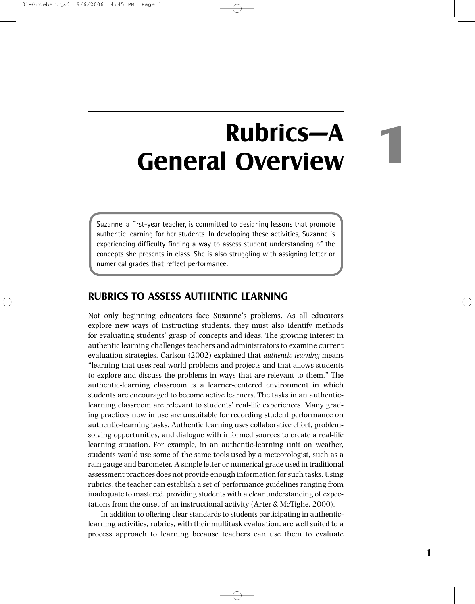# **Rubrics—A General Overview**

Suzanne, a first-year teacher, is committed to designing lessons that promote authentic learning for her students. In developing these activities, Suzanne is experiencing difficulty finding a way to assess student understanding of the concepts she presents in class. She is also struggling with assigning letter or numerical grades that reflect performance.

# **RUBRICS TO ASSESS AUTHENTIC LEARNING**

Not only beginning educators face Suzanne's problems. As all educators explore new ways of instructing students, they must also identify methods for evaluating students' grasp of concepts and ideas. The growing interest in authentic learning challenges teachers and administrators to examine current evaluation strategies. Carlson (2002) explained that *authentic learning* means "learning that uses real world problems and projects and that allows students to explore and discuss the problems in ways that are relevant to them." The authentic-learning classroom is a learner-centered environment in which students are encouraged to become active learners. The tasks in an authenticlearning classroom are relevant to students' real-life experiences. Many grading practices now in use are unsuitable for recording student performance on authentic-learning tasks. Authentic learning uses collaborative effort, problemsolving opportunities, and dialogue with informed sources to create a real-life learning situation. For example, in an authentic-learning unit on weather, students would use some of the same tools used by a meteorologist, such as a rain gauge and barometer. A simple letter or numerical grade used in traditional assessment practices does not provide enough information for such tasks. Using rubrics, the teacher can establish a set of performance guidelines ranging from inadequate to mastered, providing students with a clear understanding of expectations from the onset of an instructional activity (Arter & McTighe, 2000).

In addition to offering clear standards to students participating in authenticlearning activities, rubrics, with their multitask evaluation, are well suited to a process approach to learning because teachers can use them to evaluate

**1**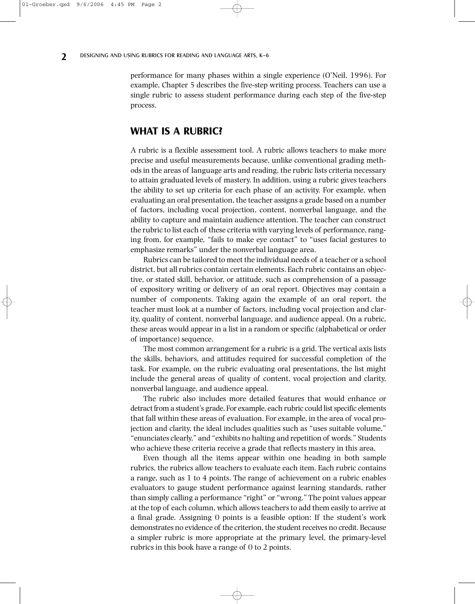### **2** DESIGNING AND USING RUBRICS FOR READING AND LANGUAGE ARTS, K–6

performance for many phases within a single experience (O'Neil, 1996). For example, Chapter 5 describes the five-step writing process. Teachers can use a single rubric to assess student performance during each step of the five-step process.

# **WHAT IS A RUBRIC?**

A rubric is a flexible assessment tool. A rubric allows teachers to make more precise and useful measurements because, unlike conventional grading methods in the areas of language arts and reading, the rubric lists criteria necessary to attain graduated levels of mastery. In addition, using a rubric gives teachers the ability to set up criteria for each phase of an activity. For example, when evaluating an oral presentation, the teacher assigns a grade based on a number of factors, including vocal projection, content, nonverbal language, and the ability to capture and maintain audience attention. The teacher can construct the rubric to list each of these criteria with varying levels of performance, ranging from, for example, "fails to make eye contact" to "uses facial gestures to emphasize remarks" under the nonverbal language area.

Rubrics can be tailored to meet the individual needs of a teacher or a school district, but all rubrics contain certain elements. Each rubric contains an objective, or stated skill, behavior, or attitude, such as comprehension of a passage of expository writing or delivery of an oral report. Objectives may contain a number of components. Taking again the example of an oral report, the teacher must look at a number of factors, including vocal projection and clarity, quality of content, nonverbal language, and audience appeal. On a rubric, these areas would appear in a list in a random or specific (alphabetical or order of importance) sequence.

The most common arrangement for a rubric is a grid. The vertical axis lists the skills, behaviors, and attitudes required for successful completion of the task. For example, on the rubric evaluating oral presentations, the list might include the general areas of quality of content, vocal projection and clarity, nonverbal language, and audience appeal.

The rubric also includes more detailed features that would enhance or detract from a student's grade. For example, each rubric could list specific elements that fall within these areas of evaluation. For example, in the area of vocal projection and clarity, the ideal includes qualities such as "uses suitable volume," "enunciates clearly," and "exhibits no halting and repetition of words." Students who achieve these criteria receive a grade that reflects mastery in this area.

Even though all the items appear within one heading in both sample rubrics, the rubrics allow teachers to evaluate each item. Each rubric contains a range, such as 1 to 4 points. The range of achievement on a rubric enables evaluators to gauge student performance against learning standards, rather than simply calling a performance "right" or "wrong." The point values appear at the top of each column, which allows teachers to add them easily to arrive at a final grade. Assigning 0 points is a feasible option: If the student's work demonstrates no evidence of the criterion, the student receives no credit. Because a simpler rubric is more appropriate at the primary level, the primary-level rubrics in this book have a range of 0 to 2 points.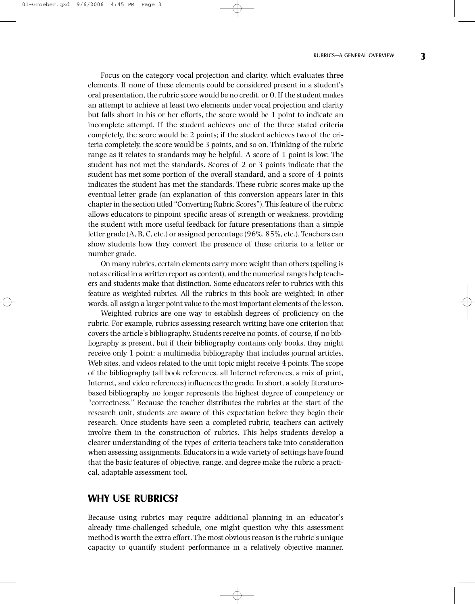01-Groeber.qxd 9/6/2006 4:45 PM Page 3

Focus on the category vocal projection and clarity, which evaluates three elements. If none of these elements could be considered present in a student's oral presentation, the rubric score would be no credit, or 0. If the student makes an attempt to achieve at least two elements under vocal projection and clarity but falls short in his or her efforts, the score would be 1 point to indicate an incomplete attempt. If the student achieves one of the three stated criteria completely, the score would be 2 points; if the student achieves two of the criteria completely, the score would be 3 points, and so on. Thinking of the rubric range as it relates to standards may be helpful. A score of 1 point is low: The student has not met the standards. Scores of 2 or 3 points indicate that the student has met some portion of the overall standard, and a score of 4 points indicates the student has met the standards. These rubric scores make up the eventual letter grade (an explanation of this conversion appears later in this chapter in the section titled "Converting Rubric Scores"). This feature of the rubric allows educators to pinpoint specific areas of strength or weakness, providing the student with more useful feedback for future presentations than a simple letter grade (A, B, C, etc.) or assigned percentage (96%, 85%, etc.). Teachers can show students how they convert the presence of these criteria to a letter or number grade.

On many rubrics, certain elements carry more weight than others (spelling is not as critical in a written report as content), and the numerical ranges help teachers and students make that distinction. Some educators refer to rubrics with this feature as weighted rubrics. All the rubrics in this book are weighted; in other words, all assign a larger point value to the most important elements of the lesson.

Weighted rubrics are one way to establish degrees of proficiency on the rubric. For example, rubrics assessing research writing have one criterion that covers the article's bibliography. Students receive no points, of course, if no bibliography is present, but if their bibliography contains only books, they might receive only 1 point; a multimedia bibliography that includes journal articles, Web sites, and videos related to the unit topic might receive 4 points. The scope of the bibliography (all book references, all Internet references, a mix of print, Internet, and video references) influences the grade. In short, a solely literaturebased bibliography no longer represents the highest degree of competency or "correctness." Because the teacher distributes the rubrics at the start of the research unit, students are aware of this expectation before they begin their research. Once students have seen a completed rubric, teachers can actively involve them in the construction of rubrics. This helps students develop a clearer understanding of the types of criteria teachers take into consideration when assessing assignments. Educators in a wide variety of settings have found that the basic features of objective, range, and degree make the rubric a practical, adaptable assessment tool.

## **WHY USE RUBRICS?**

Because using rubrics may require additional planning in an educator's already time-challenged schedule, one might question why this assessment method is worth the extra effort. The most obvious reason is the rubric's unique capacity to quantify student performance in a relatively objective manner.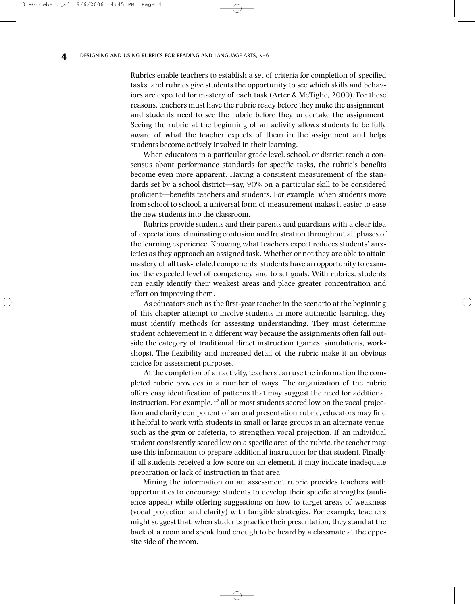#### **4** DESIGNING AND USING RUBRICS FOR READING AND LANGUAGE ARTS, K–6

Rubrics enable teachers to establish a set of criteria for completion of specified tasks, and rubrics give students the opportunity to see which skills and behaviors are expected for mastery of each task (Arter & McTighe, 2000). For these reasons, teachers must have the rubric ready before they make the assignment, and students need to see the rubric before they undertake the assignment. Seeing the rubric at the beginning of an activity allows students to be fully aware of what the teacher expects of them in the assignment and helps students become actively involved in their learning.

When educators in a particular grade level, school, or district reach a consensus about performance standards for specific tasks, the rubric's benefits become even more apparent. Having a consistent measurement of the standards set by a school district—say, 90% on a particular skill to be considered proficient—benefits teachers and students. For example, when students move from school to school, a universal form of measurement makes it easier to ease the new students into the classroom.

Rubrics provide students and their parents and guardians with a clear idea of expectations, eliminating confusion and frustration throughout all phases of the learning experience. Knowing what teachers expect reduces students' anxieties as they approach an assigned task. Whether or not they are able to attain mastery of all task-related components, students have an opportunity to examine the expected level of competency and to set goals. With rubrics, students can easily identify their weakest areas and place greater concentration and effort on improving them.

As educators such as the first-year teacher in the scenario at the beginning of this chapter attempt to involve students in more authentic learning, they must identify methods for assessing understanding. They must determine student achievement in a different way because the assignments often fall outside the category of traditional direct instruction (games, simulations, workshops). The flexibility and increased detail of the rubric make it an obvious choice for assessment purposes.

At the completion of an activity, teachers can use the information the completed rubric provides in a number of ways. The organization of the rubric offers easy identification of patterns that may suggest the need for additional instruction. For example, if all or most students scored low on the vocal projection and clarity component of an oral presentation rubric, educators may find it helpful to work with students in small or large groups in an alternate venue, such as the gym or cafeteria, to strengthen vocal projection. If an individual student consistently scored low on a specific area of the rubric, the teacher may use this information to prepare additional instruction for that student. Finally, if all students received a low score on an element, it may indicate inadequate preparation or lack of instruction in that area.

Mining the information on an assessment rubric provides teachers with opportunities to encourage students to develop their specific strengths (audience appeal) while offering suggestions on how to target areas of weakness (vocal projection and clarity) with tangible strategies. For example, teachers might suggest that, when students practice their presentation, they stand at the back of a room and speak loud enough to be heard by a classmate at the opposite side of the room.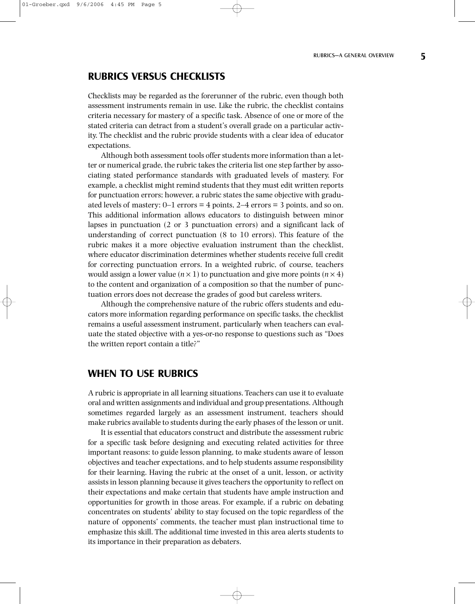## **RUBRICS VERSUS CHECKLISTS**

Checklists may be regarded as the forerunner of the rubric, even though both assessment instruments remain in use. Like the rubric, the checklist contains criteria necessary for mastery of a specific task. Absence of one or more of the stated criteria can detract from a student's overall grade on a particular activity. The checklist and the rubric provide students with a clear idea of educator expectations.

Although both assessment tools offer students more information than a letter or numerical grade, the rubric takes the criteria list one step farther by associating stated performance standards with graduated levels of mastery. For example, a checklist might remind students that they must edit written reports for punctuation errors; however, a rubric states the same objective with graduated levels of mastery:  $0-1$  errors = 4 points,  $2-4$  errors = 3 points, and so on. This additional information allows educators to distinguish between minor lapses in punctuation (2 or 3 punctuation errors) and a significant lack of understanding of correct punctuation (8 to 10 errors). This feature of the rubric makes it a more objective evaluation instrument than the checklist, where educator discrimination determines whether students receive full credit for correcting punctuation errors. In a weighted rubric, of course, teachers would assign a lower value ( $n \times 1$ ) to punctuation and give more points ( $n \times 4$ ) to the content and organization of a composition so that the number of punctuation errors does not decrease the grades of good but careless writers.

Although the comprehensive nature of the rubric offers students and educators more information regarding performance on specific tasks, the checklist remains a useful assessment instrument, particularly when teachers can evaluate the stated objective with a yes-or-no response to questions such as "Does the written report contain a title?"

# **WHEN TO USE RUBRICS**

A rubric is appropriate in all learning situations. Teachers can use it to evaluate oral and written assignments and individual and group presentations. Although sometimes regarded largely as an assessment instrument, teachers should make rubrics available to students during the early phases of the lesson or unit.

It is essential that educators construct and distribute the assessment rubric for a specific task before designing and executing related activities for three important reasons: to guide lesson planning, to make students aware of lesson objectives and teacher expectations, and to help students assume responsibility for their learning. Having the rubric at the onset of a unit, lesson, or activity assists in lesson planning because it gives teachers the opportunity to reflect on their expectations and make certain that students have ample instruction and opportunities for growth in those areas. For example, if a rubric on debating concentrates on students' ability to stay focused on the topic regardless of the nature of opponents' comments, the teacher must plan instructional time to emphasize this skill. The additional time invested in this area alerts students to its importance in their preparation as debaters.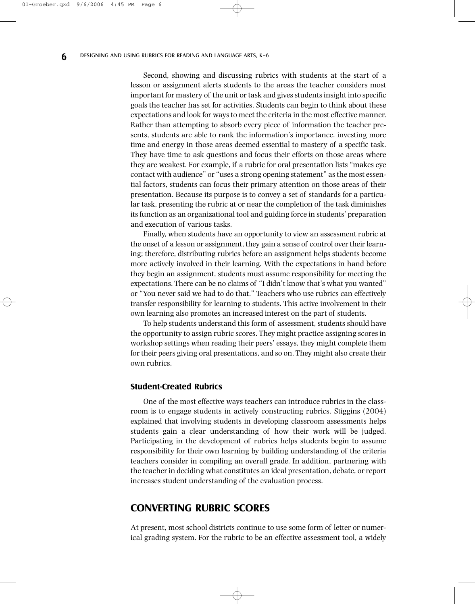### **6** DESIGNING AND USING RUBRICS FOR READING AND LANGUAGE ARTS, K-6

Second, showing and discussing rubrics with students at the start of a lesson or assignment alerts students to the areas the teacher considers most important for mastery of the unit or task and gives students insight into specific goals the teacher has set for activities. Students can begin to think about these expectations and look for ways to meet the criteria in the most effective manner. Rather than attempting to absorb every piece of information the teacher presents, students are able to rank the information's importance, investing more time and energy in those areas deemed essential to mastery of a specific task. They have time to ask questions and focus their efforts on those areas where they are weakest. For example, if a rubric for oral presentation lists "makes eye contact with audience" or "uses a strong opening statement" as the most essential factors, students can focus their primary attention on those areas of their presentation. Because its purpose is to convey a set of standards for a particular task, presenting the rubric at or near the completion of the task diminishes its function as an organizational tool and guiding force in students' preparation and execution of various tasks.

Finally, when students have an opportunity to view an assessment rubric at the onset of a lesson or assignment, they gain a sense of control over their learning; therefore, distributing rubrics before an assignment helps students become more actively involved in their learning. With the expectations in hand before they begin an assignment, students must assume responsibility for meeting the expectations. There can be no claims of "I didn't know that's what you wanted" or "You never said we had to do that." Teachers who use rubrics can effectively transfer responsibility for learning to students. This active involvement in their own learning also promotes an increased interest on the part of students.

To help students understand this form of assessment, students should have the opportunity to assign rubric scores. They might practice assigning scores in workshop settings when reading their peers' essays, they might complete them for their peers giving oral presentations, and so on. They might also create their own rubrics.

## **Student-Created Rubrics**

One of the most effective ways teachers can introduce rubrics in the classroom is to engage students in actively constructing rubrics. Stiggins (2004) explained that involving students in developing classroom assessments helps students gain a clear understanding of how their work will be judged. Participating in the development of rubrics helps students begin to assume responsibility for their own learning by building understanding of the criteria teachers consider in compiling an overall grade. In addition, partnering with the teacher in deciding what constitutes an ideal presentation, debate, or report increases student understanding of the evaluation process.

# **CONVERTING RUBRIC SCORES**

At present, most school districts continue to use some form of letter or numerical grading system. For the rubric to be an effective assessment tool, a widely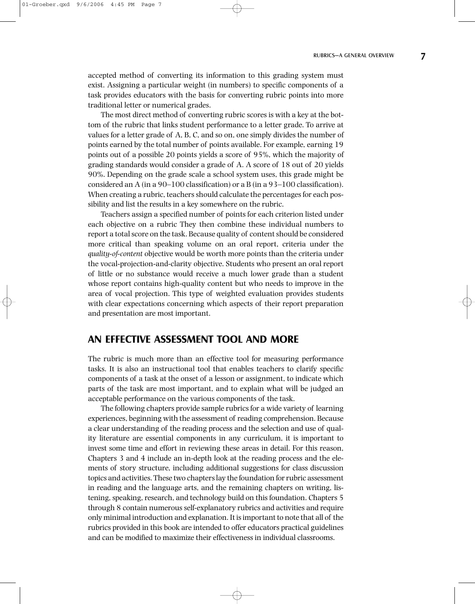accepted method of converting its information to this grading system must exist. Assigning a particular weight (in numbers) to specific components of a task provides educators with the basis for converting rubric points into more traditional letter or numerical grades.

The most direct method of converting rubric scores is with a key at the bottom of the rubric that links student performance to a letter grade. To arrive at values for a letter grade of A, B, C, and so on, one simply divides the number of points earned by the total number of points available. For example, earning 19 points out of a possible 20 points yields a score of 95%, which the majority of grading standards would consider a grade of A. A score of 18 out of 20 yields 90%. Depending on the grade scale a school system uses, this grade might be considered an A (in a 90–100 classification) or a B (in a 93–100 classification). When creating a rubric, teachers should calculate the percentages for each possibility and list the results in a key somewhere on the rubric.

Teachers assign a specified number of points for each criterion listed under each objective on a rubric They then combine these individual numbers to report a total score on the task. Because quality of content should be considered more critical than speaking volume on an oral report, criteria under the *quality-of-content* objective would be worth more points than the criteria under the vocal-projection-and-clarity objective. Students who present an oral report of little or no substance would receive a much lower grade than a student whose report contains high-quality content but who needs to improve in the area of vocal projection. This type of weighted evaluation provides students with clear expectations concerning which aspects of their report preparation and presentation are most important.

# **AN EFFECTIVE ASSESSMENT TOOL AND MORE**

The rubric is much more than an effective tool for measuring performance tasks. It is also an instructional tool that enables teachers to clarify specific components of a task at the onset of a lesson or assignment, to indicate which parts of the task are most important, and to explain what will be judged an acceptable performance on the various components of the task.

The following chapters provide sample rubrics for a wide variety of learning experiences, beginning with the assessment of reading comprehension. Because a clear understanding of the reading process and the selection and use of quality literature are essential components in any curriculum, it is important to invest some time and effort in reviewing these areas in detail. For this reason, Chapters 3 and 4 include an in-depth look at the reading process and the elements of story structure, including additional suggestions for class discussion topics and activities. These two chapters lay the foundation for rubric assessment in reading and the language arts, and the remaining chapters on writing, listening, speaking, research, and technology build on this foundation. Chapters 5 through 8 contain numerous self-explanatory rubrics and activities and require only minimal introduction and explanation. It is important to note that all of the rubrics provided in this book are intended to offer educators practical guidelines and can be modified to maximize their effectiveness in individual classrooms.